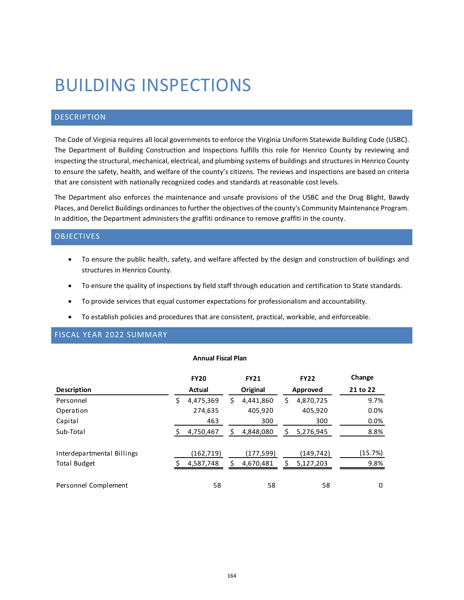# BUILDING INSPECTIONS

## **DESCRIPTION**

The Code of Virginia requires all local governments to enforce the Virginia Uniform Statewide Building Code (USBC). The Department of Building Construction and Inspections fulfills this role for Henrico County by reviewing and inspecting the structural, mechanical, electrical, and plumbing systems of buildings and structures in Henrico County to ensure the safety, health, and welfare of the county's citizens. The reviews and inspections are based on criteria that are consistent with nationally recognized codes and standards at reasonable cost levels.

The Department also enforces the maintenance and unsafe provisions of the USBC and the Drug Blight, Bawdy Places, and Derelict Buildings ordinances to further the objectives of the county's Community Maintenance Program. In addition, the Department administers the graffiti ordinance to remove graffiti in the county.

#### OBJECTIVES

- To ensure the public health, safety, and welfare affected by the design and construction of buildings and structures in Henrico County.
- To ensure the quality of inspections by field staff through education and certification to State standards.
- To provide services that equal customer expectations for professionalism and accountability.
- To establish policies and procedures that are consistent, practical, workable, and enforceable.

### FISCAL YEAR 2022 SUMMARY

#### **Annual Fiscal Plan**

|                                            | <b>FY20</b>            |    | <b>FY21</b>            |    | <b>FY22</b>            | Change          |
|--------------------------------------------|------------------------|----|------------------------|----|------------------------|-----------------|
| <b>Description</b>                         | Actual                 |    | Original               |    | Approved               | 21 to 22        |
| Personnel                                  | \$<br>4,475,369        | \$ | 4,441,860              | \$ | 4,870,725              | 9.7%            |
| Operation                                  | 274,635                |    | 405,920                |    | 405,920                | 0.0%            |
| Capital                                    | 463                    |    | 300                    |    | 300                    | 0.0%            |
| Sub-Total                                  | 4,750,467              | \$ | 4,848,080              | S  | 5,276,945              | 8.8%            |
| Interdepartmental Billings<br>Total Budget | (162,719)<br>4,587,748 | Ś  | (177,599)<br>4,670,481 | ς  | (149,742)<br>5,127,203 | (15.7%)<br>9.8% |
| Personnel Complement                       | 58                     |    | 58                     |    | 58                     | 0               |